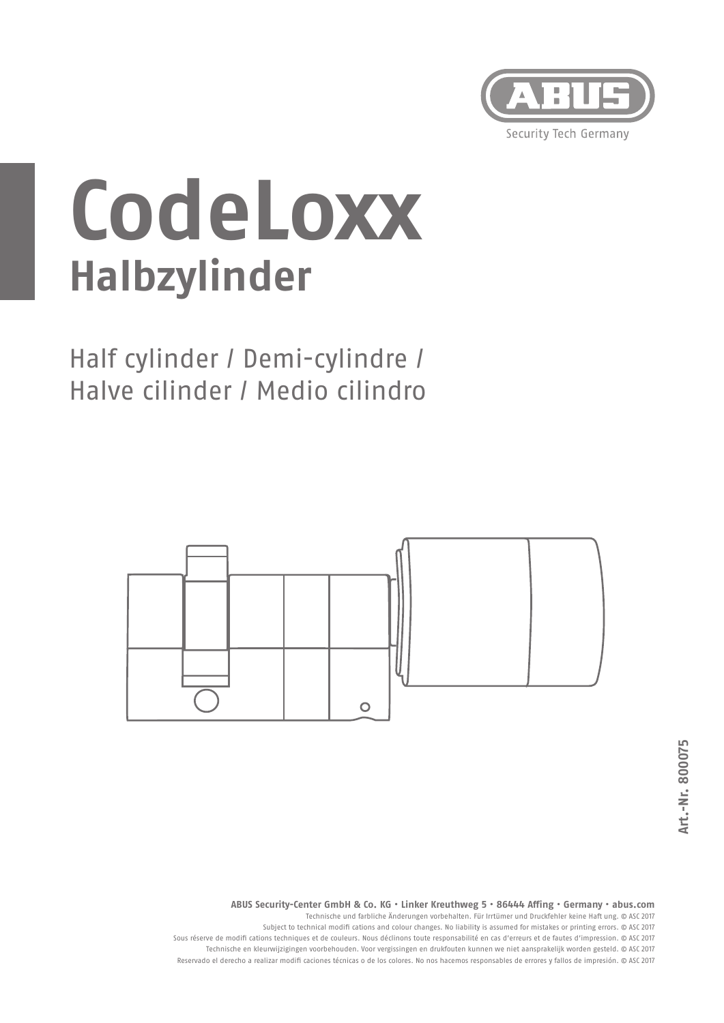

## **CodeLoxx Halbzylinder**

Half cylinder / Demi-cylindre / Halve cilinder / Medio cilindro



**ABUS Security-Center GmbH & Co. KG • Linker Kreuthweg 5 • 86444 Aff ing • Germany • abus.com**

Technische und farbliche Änderungen vorbehalten. Für Irrtümer und Druckfehler keine Haft ung. © ASC 2017

Subject to technical modifi cations and colour changes. No liability is assumed for mistakes or printing errors. © ASC 2017 Sous réserve de modifi cations techniques et de couleurs. Nous déclinons toute responsabilité en cas d'erreurs et de fautes d'impression. © ASC 2017 Technische en kleurwijzigingen voorbehouden. Voor vergissingen en drukfouten kunnen we niet aansprakelijk worden gesteld. © ASC 2017 Reservado el derecho a realizar modifi caciones técnicas o de los colores. No nos hacemos responsables de errores y fallos de impresión. © ASC 2017